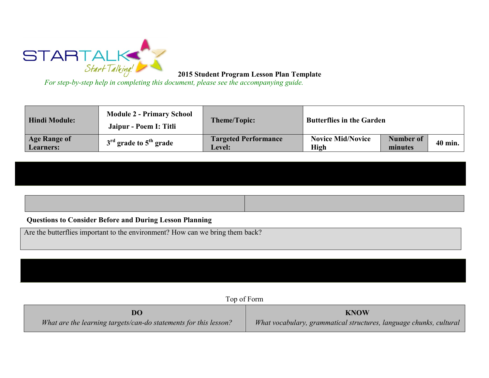

**2015 Student Program Lesson Plan Template** 

*For step-by-step help in completing this document, please see the accompanying guide.*

| <b>Hindi Module:</b>                    | <b>Module 2 - Primary School</b><br>Jaipur - Poem I: Titli | <b>Theme/Topic:</b>                          | <b>Butterflies in the Garden</b> |                      |         |
|-----------------------------------------|------------------------------------------------------------|----------------------------------------------|----------------------------------|----------------------|---------|
| <b>Age Range of</b><br><b>Learners:</b> | $3rd$ grade to $5th$ grade                                 | <b>Targeted Performance</b><br><b>Level:</b> | <b>Novice Mid/Novice</b><br>High | Number of<br>minutes | 40 min. |

## **Questions to Consider Before and During Lesson Planning**

Are the butterflies important to the environment? How can we bring them back?

Top of Form

| DO                                                               | <b>KNOW</b>                                                        |
|------------------------------------------------------------------|--------------------------------------------------------------------|
| What are the learning targets/can-do statements for this lesson? | What vocabulary, grammatical structures, language chunks, cultural |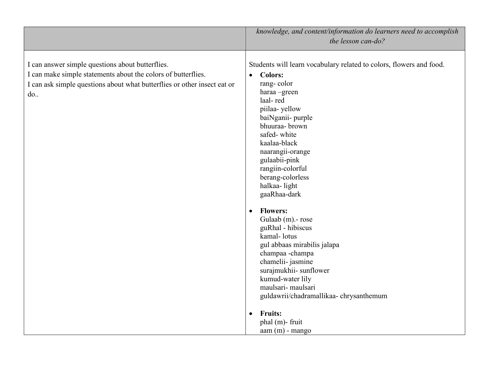|                                                                                                                                                                                                      | knowledge, and content/information do learners need to accomplish<br>the lesson can-do?                                                                                                                                                                                                                                                                                                                                                                                                                                                                                                                                      |
|------------------------------------------------------------------------------------------------------------------------------------------------------------------------------------------------------|------------------------------------------------------------------------------------------------------------------------------------------------------------------------------------------------------------------------------------------------------------------------------------------------------------------------------------------------------------------------------------------------------------------------------------------------------------------------------------------------------------------------------------------------------------------------------------------------------------------------------|
| I can answer simple questions about butterflies.<br>I can make simple statements about the colors of butterflies.<br>I can ask simple questions about what butterflies or other insect eat or<br>do. | Students will learn vocabulary related to colors, flowers and food.<br><b>Colors:</b><br>$\bullet$<br>rang-color<br>haraa-green<br>laal-red<br>piilaa-yellow<br>baiNganii- purple<br>bhuuraa- brown<br>safed-white<br>kaalaa-black<br>naarangii-orange<br>gulaabii-pink<br>rangiin-colorful<br>berang-colorless<br>halkaa-light<br>gaaRhaa-dark<br><b>Flowers:</b><br>$\bullet$<br>Gulaab (m) - rose<br>guRhal - hibiscus<br>kamal-lotus<br>gul abbaas mirabilis jalapa<br>champaa -champa<br>chamelii- jasmine<br>surajmukhii-sunflower<br>kumud-water lily<br>maulsari- maulsari<br>guldawrii/chadramallikaa-chrysanthemum |
|                                                                                                                                                                                                      | <b>Fruits:</b><br>$\bullet$<br>phal (m)-fruit<br>$a$ am $(m)$ - mango                                                                                                                                                                                                                                                                                                                                                                                                                                                                                                                                                        |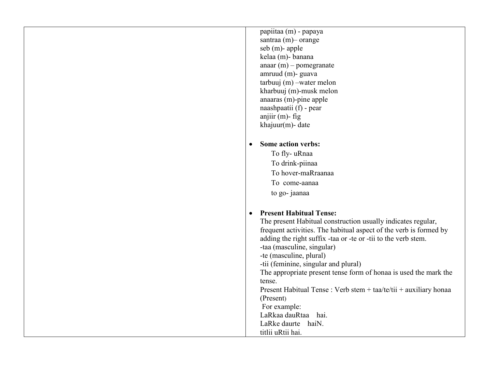| papiitaa (m) - papaya                                               |
|---------------------------------------------------------------------|
| santraa (m) - orange                                                |
| seb (m)- apple                                                      |
| kelaa (m)- banana                                                   |
| anaar $(m)$ – pomegranate                                           |
| amruud (m)- guava                                                   |
| $tarbuuj(m) -water$ melon                                           |
| kharbuuj (m)-musk melon                                             |
| anaaras (m)-pine apple<br>naashpaatii (f) - pear                    |
| anjiir $(m)$ - fig                                                  |
| khajuur $(m)$ - date                                                |
|                                                                     |
| <b>Some action verbs:</b><br>$\bullet$                              |
| To fly-uRnaa                                                        |
| To drink-piinaa                                                     |
| To hover-maRraanaa                                                  |
| To come-aanaa                                                       |
| to go- jaanaa                                                       |
|                                                                     |
| <b>Present Habitual Tense:</b>                                      |
| The present Habitual construction usually indicates regular,        |
| frequent activities. The habitual aspect of the verb is formed by   |
| adding the right suffix -taa or -te or -tii to the verb stem.       |
| -taa (masculine, singular)                                          |
| -te (masculine, plural)                                             |
| -tii (feminine, singular and plural)                                |
| The appropriate present tense form of honaa is used the mark the    |
| tense.                                                              |
| Present Habitual Tense : Verb stem + $taa/te/tii$ + auxiliary honaa |
| (Present)<br>For example:                                           |
| LaRkaa dauRtaa<br>hai.                                              |
| LaRke daurte<br>haiN.                                               |
| titlii uRtii hai.                                                   |
|                                                                     |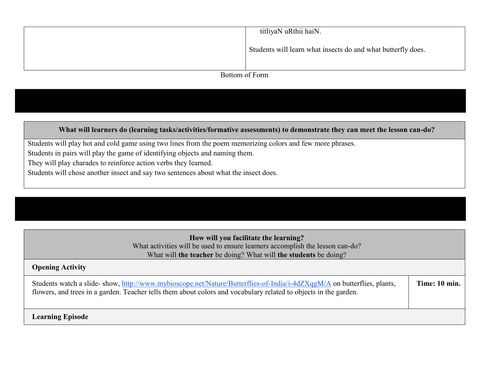|                | titliyaN uRthii haiN.                                        |  |
|----------------|--------------------------------------------------------------|--|
|                | Students will learn what insects do and what butterfly does. |  |
|                |                                                              |  |
| Bottom of Form |                                                              |  |

**What will learners do (learning tasks/activities/formative assessments) to demonstrate they can meet the lesson can-do?**

Students will play hot and cold game using two lines from the poem memorizing colors and few more phrases.

Students in pairs will play the game of identifying objects and naming them.

They will play charades to reinforce action verbs they learned.

Students will chose another insect and say two sentences about what the insect does.

## **How will you facilitate the learning?**  What activities will be used to ensure learners accomplish the lesson can-do?

## What will **the teacher** be doing? What will **the students** be doing?

## **Opening Activity** Students watch a slide- show,<http://www.mybioscope.net/Nature/Butterflies-of-India/i-4dZXqgM/A> on butterflies, plants, flowers, and trees in a garden. Teacher tells them about colors and vocabulary related to objects in the garden. **Time: 10 min. Learning Episode**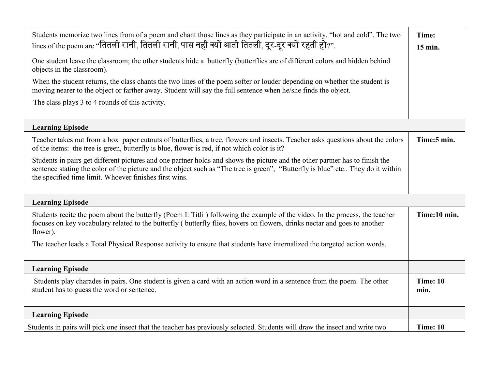| Students memorize two lines from of a poem and chant those lines as they participate in an activity, "hot and cold". The two<br>lines of the poem are "तितली रानी, तितली रानी, पास नहीं क्यों आती तितली, दूर-दूर क्यों रहती हो?".<br>One student leave the classroom; the other students hide a butterfly (butterflies are of different colors and hidden behind<br>objects in the classroom).<br>When the student returns, the class chants the two lines of the poem softer or louder depending on whether the student is<br>moving nearer to the object or farther away. Student will say the full sentence when he/she finds the object.<br>The class plays 3 to 4 rounds of this activity. | Time:<br>15 min. |
|-------------------------------------------------------------------------------------------------------------------------------------------------------------------------------------------------------------------------------------------------------------------------------------------------------------------------------------------------------------------------------------------------------------------------------------------------------------------------------------------------------------------------------------------------------------------------------------------------------------------------------------------------------------------------------------------------|------------------|
|                                                                                                                                                                                                                                                                                                                                                                                                                                                                                                                                                                                                                                                                                                 |                  |
| <b>Learning Episode</b>                                                                                                                                                                                                                                                                                                                                                                                                                                                                                                                                                                                                                                                                         |                  |
| Teacher takes out from a box paper cutouts of butterflies, a tree, flowers and insects. Teacher asks questions about the colors<br>of the items: the tree is green, butterfly is blue, flower is red, if not which color is it?                                                                                                                                                                                                                                                                                                                                                                                                                                                                 | Time:5 min.      |
| Students in pairs get different pictures and one partner holds and shows the picture and the other partner has to finish the<br>sentence stating the color of the picture and the object such as "The tree is green", "Butterfly is blue" etc They do it within<br>the specified time limit. Whoever finishes first wins.                                                                                                                                                                                                                                                                                                                                                                       |                  |
| <b>Learning Episode</b>                                                                                                                                                                                                                                                                                                                                                                                                                                                                                                                                                                                                                                                                         |                  |
| Students recite the poem about the butterfly (Poem I: Titli) following the example of the video. In the process, the teacher<br>focuses on key vocabulary related to the butterfly (butterfly flies, hovers on flowers, drinks nectar and goes to another<br>flower).                                                                                                                                                                                                                                                                                                                                                                                                                           | Time:10 min.     |
| The teacher leads a Total Physical Response activity to ensure that students have internalized the targeted action words.                                                                                                                                                                                                                                                                                                                                                                                                                                                                                                                                                                       |                  |
| <b>Learning Episode</b>                                                                                                                                                                                                                                                                                                                                                                                                                                                                                                                                                                                                                                                                         |                  |
| Students play charades in pairs. One student is given a card with an action word in a sentence from the poem. The other<br>student has to guess the word or sentence.                                                                                                                                                                                                                                                                                                                                                                                                                                                                                                                           |                  |
| <b>Learning Episode</b>                                                                                                                                                                                                                                                                                                                                                                                                                                                                                                                                                                                                                                                                         |                  |
| Students in pairs will pick one insect that the teacher has previously selected. Students will draw the insect and write two                                                                                                                                                                                                                                                                                                                                                                                                                                                                                                                                                                    | Time: 10         |